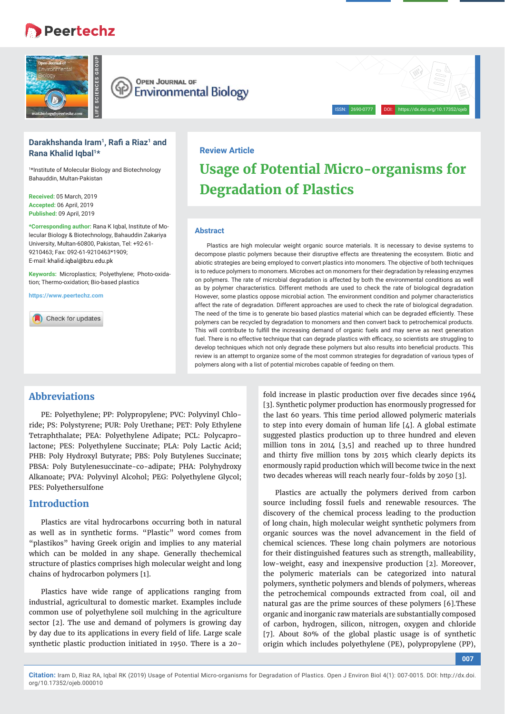# **Peertechz**







# **Darakhshanda Iram1, Rafi a Riaz1 and Rana Khalid Iqbal1\***

1 \*Institute of Molecular Biology and Biotechnology Bahauddin, Multan-Pakistan

**Received:** 05 March, 2019 **Accepted:** 06 April, 2019 **Published:** 09 April, 2019

**\*Corresponding author:** Rana K Iqbal, Institute of Molecular Biology & Biotechnology, Bahauddin Zakariya University, Multan-60800, Pakistan, Tel: +92-61- 9210463; Fax: 092-61-9210463\*1909; E-mail: khalid.igbal@bzu.edu.pk

**Keywords:** Microplastics; Polyethylene; Photo-oxidation; Thermo-oxidation; Bio-based plastics

**https://www.peertechz.com**

Check for updates

# **Review Article**

# **Usage of Potential Micro-organisms for Degradation of Plastics**

#### **Abstract**

Plastics are high molecular weight organic source materials. It is necessary to devise systems to decompose plastic polymers because their disruptive effects are threatening the ecosystem. Biotic and abiotic strategies are being employed to convert plastics into monomers. The objective of both techniques is to reduce polymers to monomers. Microbes act on monomers for their degradation by releasing enzymes on polymers. The rate of microbial degradation is affected by both the environmental conditions as well as by polymer characteristics. Different methods are used to check the rate of biological degradation However, some plastics oppose microbial action. The environment condition and polymer characteristics affect the rate of degradation. Different approaches are used to check the rate of biological degradation. The need of the time is to generate bio based plastics material which can be degraded efficiently. These polymers can be recycled by degradation to monomers and then convert back to petrochemical products. This will contribute to fulfill the increasing demand of organic fuels and may serve as next generation fuel. There is no effective technique that can degrade plastics with efficacy, so scientists are struggling to develop techniques which not only degrade these polymers but also results into beneficial products. This review is an attempt to organize some of the most common strategies for degradation of various types of polymers along with a list of potential microbes capable of feeding on them.

# **Abbreviations**

PE: Polyethylene; PP: Polypropylene; PVC: Polyvinyl Chloride; PS: Polystyrene; PUR: Poly Urethane; PET: Poly Ethylene Tetraphthalate; PEA: Polyethylene Adipate; PCL: Polycaprolactone; PES: Polyethylene Succinate; PLA: Poly Lactic Acid; PHB: Poly Hydroxyl Butyrate; PBS: Poly Butylenes Succinate; PBSA: Poly Butylenesuccinate-co-adipate; PHA: Polyhydroxy Alkanoate; PVA: Polyvinyl Alcohol; PEG: Polyethylene Glycol; PES: Polyethersulfone

# **Introduction**

Plastics are vital hydrocarbons occurring both in natural as well as in synthetic forms. "Plastic" word comes from "plastikos" having Greek origin and implies to any material which can be molded in any shape. Generally thechemical structure of plastics comprises high molecular weight and long chains of hydrocarbon polymers [1].

Plastics have wide range of applications ranging from industrial, agricultural to domestic market. Examples include common use of polyethylene soil mulching in the agriculture sector [2]. The use and demand of polymers is growing day by day due to its applications in every field of life. Large scale synthetic plastic production initiated in 1950. There is a 20fold increase in plastic production over five decades since 1964 [3]. Synthetic polymer production has enormously progressed for the last 60 years. This time period allowed polymeric materials to step into every domain of human life [4]. A global estimate suggested plastics production up to three hundred and eleven million tons in 2014 [3,5] and reached up to three hundred and thirty five million tons by 2015 which clearly depicts its enormously rapid production which will become twice in the next two decades whereas will reach nearly four-folds by 2050 [3].

Plastics are actually the polymers derived from carbon source including fossil fuels and renewable resources. The discovery of the chemical process leading to the production of long chain, high molecular weight synthetic polymers from organic sources was the novel advancement in the field of chemical sciences. These long chain polymers are notorious for their distinguished features such as strength, malleability, low-weight, easy and inexpensive production [2]. Moreover, the polymeric materials can be categorized into natural polymers, synthetic polymers and blends of polymers, whereas the petrochemical compounds extracted from coal, oil and natural gas are the prime sources of these polymers [6].These organic and inorganic raw materials are substantially composed of carbon, hydrogen, silicon, nitrogen, oxygen and chloride [7]. About 80% of the global plastic usage is of synthetic origin which includes polyethylene (PE), polypropylene (PP),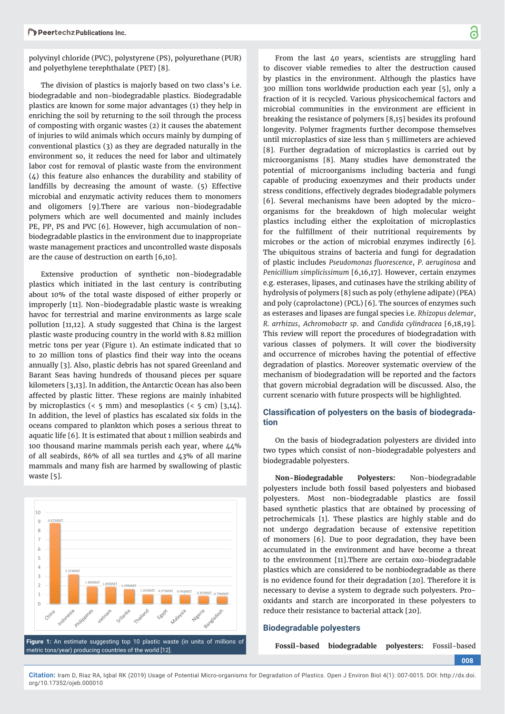polyvinyl chloride (PVC), polystyrene (PS), polyurethane (PUR) and polyethylene terephthalate (PET) [8].

The division of plastics is majorly based on two class's i.e. biodegradable and non-biodegradable plastics. Biodegradable plastics are known for some major advantages (1) they help in enriching the soil by returning to the soil through the process of composting with organic wastes (2) it causes the abatement of injuries to wild animals which occurs mainly by dumping of conventional plastics (3) as they are degraded naturally in the environment so, it reduces the need for labor and ultimately labor cost for removal of plastic waste from the environment  $(\Delta)$  this feature also enhances the durability and stability of landfills by decreasing the amount of waste. (5) Effective microbial and enzymatic activity reduces them to monomers and oligomers [9].There are various non-biodegradable polymers which are well documented and mainly includes PE, PP, PS and PVC [6]. However, high accumulation of nonbiodegradable plastics in the environment due to inappropriate waste management practices and uncontrolled waste disposals are the cause of destruction on earth [6,10].

Extensive production of synthetic non-biodegradable plastics which initiated in the last century is contributing about 10% of the total waste disposed of either properly or improperly [11]. Non-biodegradable plastic waste is wreaking havoc for terrestrial and marine environments as large scale pollution [11,12]. A study suggested that China is the largest plastic waste producing country in the world with 8.82 million metric tons per year (Figure 1). An estimate indicated that 10 to 20 million tons of plastics find their way into the oceans annually [3]. Also, plastic debris has not spared Greenland and Barant Seas having hundreds of thousand pieces per square kilometers [3,13]. In addition, the Antarctic Ocean has also been affected by plastic litter. These regions are mainly inhabited by microplastics  $( $5 \text{ mm}$ )$  and mesoplastics  $( $5 \text{ cm}$ ) [3,14].$ In addition, the level of plastics has escalated six folds in the oceans compared to plankton which poses a serious threat to aquatic life [6]. It is estimated that about 1 million seabirds and 100 thousand marine mammals perish each year, where 44% of all seabirds, 86% of all sea turtles and 43% of all marine mammals and many fish are harmed by swallowing of plastic waste [5].



From the last 40 years, scientists are struggling hard to discover viable remedies to alter the destruction caused by plastics in the environment. Although the plastics have 300 million tons worldwide production each year [5], only a fraction of it is recycled. Various physicochemical factors and microbial communities in the environment are efficient in breaking the resistance of polymers [8,15] besides its profound longevity. Polymer fragments further decompose themselves until microplastics of size less than 5 millimeters are achieved [8]. Further degradation of microplastics is carried out by microorganisms [8]. Many studies have demonstrated the potential of microorganisms including bacteria and fungi capable of producing exoenzymes and their products under stress conditions, effectively degrades biodegradable polymers [6]. Several mechanisms have been adopted by the micro-

organisms for the breakdown of high molecular weight plastics including either the exploitation of microplastics for the fulfillment of their nutritional requirements by microbes or the action of microbial enzymes indirectly [6]. The ubiquitous strains of bacteria and fungi for degradation of plastic includes *Pseudomonas fl uorescence*, *P. aeruginosa* and *Penicillium simplicissimum* [6,16,17]. However, certain enzymes e.g. esterases, lipases, and cutinases have the striking ability of hydrolysis of polymers [8] such as poly (ethylene adipate) (PEA) and poly (caprolactone) (PCL) [6]. The sources of enzymes such as esterases and lipases are fungal species i.e. *Rhizopus delemar*, *R. arrhizus*, *Achromobactr sp*. and *Candida cylindracea* [6,18,19]. This review will report the procedures of biodegradation with various classes of polymers. It will cover the biodiversity and occurrence of microbes having the potential of effective degradation of plastics. Moreover systematic overview of the mechanism of biodegradation will be reported and the factors that govern microbial degradation will be discussed. Also, the current scenario with future prospects will be highlighted.

# **Classification of polyesters on the basis of biodegradation**

On the basis of biodegradation polyesters are divided into two types which consist of non-biodegradable polyesters and biodegradable polyesters.

**Non-Biodegradable Polyesters:** Non-biodegradable polyesters include both fossil based polyesters and biobased polyesters. Most non-biodegradable plastics are fossil based synthetic plastics that are obtained by processing of petrochemicals [1]. These plastics are highly stable and do not undergo degradation because of extensive repetition of monomers [6]. Due to poor degradation, they have been accumulated in the environment and have become a threat to the environment [11].There are certain oxo-biodegradable plastics which are considered to be nonbiodegradable as there is no evidence found for their degradation [20]. Therefore it is necessary to devise a system to degrade such polyesters. Prooxidants and starch are incorporated in these polyesters to reduce their resistance to bacterial attack [20].

#### **Biodegradable polyesters**

**Fossil-based biodegradable polyesters:** Fossil-based

**008**

**Citation:** Iram D, Riaz RA, Iqbal RK (2019) Usage of Potential Micro-organisms for Degradation of Plastics. Open J Environ Biol 4(1): 007-0015. DOI: http://dx.doi. org/10.17352/ojeb.000010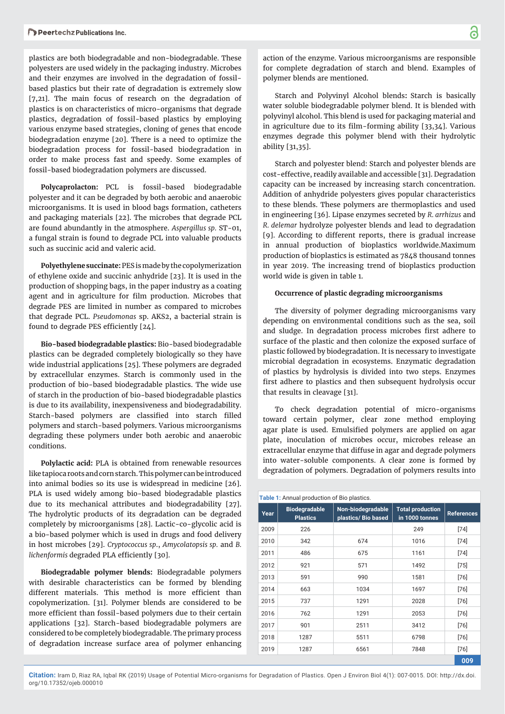plastics are both biodegradable and non-biodegradable. These polyesters are used widely in the packaging industry. Microbes and their enzymes are involved in the degradation of fossilbased plastics but their rate of degradation is extremely slow [7,21]. The main focus of research on the degradation of plastics is on characteristics of micro-organisms that degrade plastics, degradation of fossil-based plastics by employing various enzyme based strategies, cloning of genes that encode biodegradation enzyme [20]. There is a need to optimize the biodegradation process for fossil-based biodegradation in order to make process fast and speedy. Some examples of fossil-based biodegradation polymers are discussed.

**Polycaprolacton:** PCL is fossil-based biodegradable polyester and it can be degraded by both aerobic and anaerobic microorganisms. It is used in blood bags formation, catheters and packaging materials [22]. The microbes that degrade PCL are found abundantly in the atmosphere. *Aspergillus sp.* ST-01, a fungal strain is found to degrade PCL into valuable products such as succinic acid and valeric acid.

**Polyethylene succinate:** PES is made by the copolymerization of ethylene oxide and succinic anhydride [23]. It is used in the production of shopping bags, in the paper industry as a coating agent and in agriculture for film production. Microbes that degrade PES are limited in number as compared to microbes that degrade PCL. *Pseudomonas* sp. AKS2, a bacterial strain is found to degrade PES efficiently [24].

**Bio-based biodegradable plastics:** Bio-based biodegradable plastics can be degraded completely biologically so they have wide industrial applications [25]. These polymers are degraded by extracellular enzymes. Starch is commonly used in the production of bio-based biodegradable plastics. The wide use of starch in the production of bio-based biodegradable plastics is due to its availability, inexpensiveness and biodegradability. Starch-based polymers are classified into starch filled polymers and starch-based polymers. Various microorganisms degrading these polymers under both aerobic and anaerobic conditions.

**Polylactic acid:** PLA is obtained from renewable resources like tapioca roots and corn starch. This polymer can be introduced into animal bodies so its use is widespread in medicine [26]. PLA is used widely among bio-based biodegradable plastics due to its mechanical attributes and biodegradability [27]. The hydrolytic products of its degradation can be degraded completely by microorganisms [28]. Lactic-co-glycolic acid is a bio-based polymer which is used in drugs and food delivery in host microbes [29]. *Cryptococcus sp*., *Amycolatopsis sp.* and *B. lichenformis* degraded PLA efficiently [30].

**Biodegradable polymer blends:** Biodegradable polymers with desirable characteristics can be formed by blending different materials. This method is more efficient than copolymerization. [31]. Polymer blends are considered to be more efficient than fossil-based polymers due to their certain applications [32]. Starch-based biodegradable polymers are considered to be completely biodegradable. The primary process of degradation increase surface area of polymer enhancing

action of the enzyme. Various microorganisms are responsible for complete degradation of starch and blend. Examples of polymer blends are mentioned.

Starch and Polyvinyl Alcohol blends**:** Starch is basically water soluble biodegradable polymer blend. It is blended with polyvinyl alcohol. This blend is used for packaging material and in agriculture due to its film-forming ability  $[33,34]$ . Various enzymes degrade this polymer blend with their hydrolytic ability [31,35].

Starch and polyester blend: Starch and polyester blends are cost-effective, readily available and accessible [31]. Degradation capacity can be increased by increasing starch concentration. Addition of anhydride polyesters gives popular characteristics to these blends. These polymers are thermoplastics and used in engineering [36]. Lipase enzymes secreted by *R. arrhizus* and *R. delemar* hydrolyze polyester blends and lead to degradation [9]. According to different reports, there is gradual increase in annual production of bioplastics worldwide.Maximum production of bioplastics is estimated as 7848 thousand tonnes in year 2019. The increasing trend of bioplastics production world wide is given in table 1.

# **Occurrence of plastic degrading microorganisms**

The diversity of polymer degrading microorganisms vary depending on environmental conditions such as the sea, soil and sludge. In degradation process microbes first adhere to surface of the plastic and then colonize the exposed surface of plastic followed by biodegradation. It is necessary to investigate microbial degradation in ecosystems. Enzymatic degradation of plastics by hydrolysis is divided into two steps. Enzymes first adhere to plastics and then subsequent hydrolysis occur that results in cleavage [31].

To check degradation potential of micro-organisms toward certain polymer, clear zone method employing agar plate is used. Emulsified polymers are applied on agar plate, inoculation of microbes occur, microbes release an extracellular enzyme that diffuse in agar and degrade polymers into water-soluble components. A clear zone is formed by degradation of polymers. Degradation of polymers results into

| Table 1: Annual production of Bio plastics. |                                         |                                          |                                           |                   |  |  |  |
|---------------------------------------------|-----------------------------------------|------------------------------------------|-------------------------------------------|-------------------|--|--|--|
| Year                                        | <b>Biodegradable</b><br><b>Plastics</b> | Non-biodegradable<br>plastics/ Bio based | <b>Total production</b><br>in 1000 tonnes | <b>References</b> |  |  |  |
| 2009                                        | 226                                     |                                          | 249                                       | [74]              |  |  |  |
| 2010                                        | 342                                     | 674                                      | 1016                                      | [74]              |  |  |  |
| 2011                                        | 486                                     | 675                                      | 1161                                      | [74]              |  |  |  |
| 2012                                        | 921                                     | 571                                      | 1492                                      | $[75]$            |  |  |  |
| 2013                                        | 591                                     | 990                                      | 1581                                      | [76]              |  |  |  |
| 2014                                        | 663                                     | 1034                                     | 1697                                      | [76]              |  |  |  |
| 2015                                        | 737                                     | 1291                                     | 2028                                      | $[76]$            |  |  |  |
| 2016                                        | 762                                     | 1291                                     | 2053                                      | $[76]$            |  |  |  |
| 2017                                        | 901                                     | 2511                                     | 3412                                      | [76]              |  |  |  |
| 2018                                        | 1287                                    | 5511                                     | 6798                                      | [76]              |  |  |  |
| 2019                                        | 1287                                    | 6561                                     | 7848                                      | [76]              |  |  |  |
|                                             |                                         |                                          |                                           | 009               |  |  |  |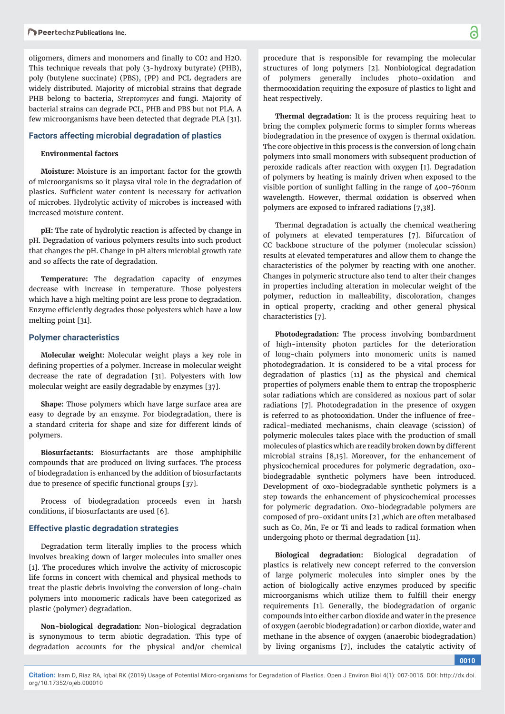oligomers, dimers and monomers and finally to CO2 and H2O. This technique reveals that poly (3-hydroxy butyrate) (PHB), poly (butylene succinate) (PBS), (PP) and PCL degraders are widely distributed. Majority of microbial strains that degrade PHB belong to bacteria, *Streptomyces* and fungi. Majority of bacterial strains can degrade PCL, PHB and PBS but not PLA. A few microorganisms have been detected that degrade PLA [31].

# **Factors affecting microbial degradation of plastics**

#### **Environmental factors**

**Moisture:** Moisture is an important factor for the growth of microorganisms so it playsa vital role in the degradation of plastics. Sufficient water content is necessary for activation of microbes. Hydrolytic activity of microbes is increased with increased moisture content.

**pH:** The rate of hydrolytic reaction is affected by change in pH. Degradation of various polymers results into such product that changes the pH. Change in pH alters microbial growth rate and so affects the rate of degradation.

**Temperature:** The degradation capacity of enzymes decrease with increase in temperature. Those polyesters which have a high melting point are less prone to degradation. Enzyme efficiently degrades those polyesters which have a low melting point [31].

#### **Polymer characteristics**

**Molecular weight:** Molecular weight plays a key role in defining properties of a polymer. Increase in molecular weight decrease the rate of degradation [31]. Polyesters with low molecular weight are easily degradable by enzymes [37].

**Shape:** Those polymers which have large surface area are easy to degrade by an enzyme. For biodegradation, there is a standard criteria for shape and size for different kinds of polymers.

**Biosurfactants:** Biosurfactants are those amphiphilic compounds that are produced on living surfaces. The process of biodegradation is enhanced by the addition of biosurfactants due to presence of specific functional groups [37].

Process of biodegradation proceeds even in harsh conditions, if biosurfactants are used [6].

## **Effective plastic degradation strategies**

Degradation term literally implies to the process which involves breaking down of larger molecules into smaller ones [1]. The procedures which involve the activity of microscopic life forms in concert with chemical and physical methods to treat the plastic debris involving the conversion of long-chain polymers into monomeric radicals have been categorized as plastic (polymer) degradation.

**Non-biological degradation:** Non-biological degradation is synonymous to term abiotic degradation. This type of degradation accounts for the physical and/or chemical

procedure that is responsible for revamping the molecular structures of long polymers [2]. Nonbiological degradation of polymers generally includes photo-oxidation and thermooxidation requiring the exposure of plastics to light and heat respectively.

**Thermal degradation:** It is the process requiring heat to bring the complex polymeric forms to simpler forms whereas biodegradation in the presence of oxygen is thermal oxidation. The core objective in this process is the conversion of long chain polymers into small monomers with subsequent production of peroxide radicals after reaction with oxygen [1]. Degradation of polymers by heating is mainly driven when exposed to the visible portion of sunlight falling in the range of 400-760nm wavelength. However, thermal oxidation is observed when polymers are exposed to infrared radiations [7,38].

Thermal degradation is actually the chemical weathering of polymers at elevated temperatures [7]. Bifurcation of CC backbone structure of the polymer (molecular scission) results at elevated temperatures and allow them to change the characteristics of the polymer by reacting with one another. Changes in polymeric structure also tend to alter their changes in properties including alteration in molecular weight of the polymer, reduction in malleability, discoloration, changes in optical property, cracking and other general physical characteristics [7].

**Photodegradation:** The process involving bombardment of high-intensity photon particles for the deterioration of long-chain polymers into monomeric units is named photodegradation. It is considered to be a vital process for degradation of plastics [11] as the physical and chemical properties of polymers enable them to entrap the tropospheric solar radiations which are considered as noxious part of solar radiations [7]. Photodegradation in the presence of oxygen is referred to as photooxidation. Under the influence of freeradical-mediated mechanisms, chain cleavage (scission) of polymeric molecules takes place with the production of small molecules of plastics which are readily broken down by different microbial strains [8,15]. Moreover, for the enhancement of physicochemical procedures for polymeric degradation, oxobiodegradable synthetic polymers have been introduced. Development of oxo-biodegradable synthetic polymers is a step towards the enhancement of physicochemical processes for polymeric degradation. Oxo-biodegradable polymers are composed of pro-oxidant units [2] ,which are often metalbased such as Co, Mn, Fe or Ti and leads to radical formation when undergoing photo or thermal degradation [11].

**Biological degradation:** Biological degradation of plastics is relatively new concept referred to the conversion of large polymeric molecules into simpler ones by the action of biologically active enzymes produced by specific microorganisms which utilize them to fulfill their energy requirements [1]. Generally, the biodegradation of organic compounds into either carbon dioxide and water in the presence of oxygen (aerobic biodegradation) or carbon dioxide, water and methane in the absence of oxygen (anaerobic biodegradation) by living organisms [7], includes the catalytic activity of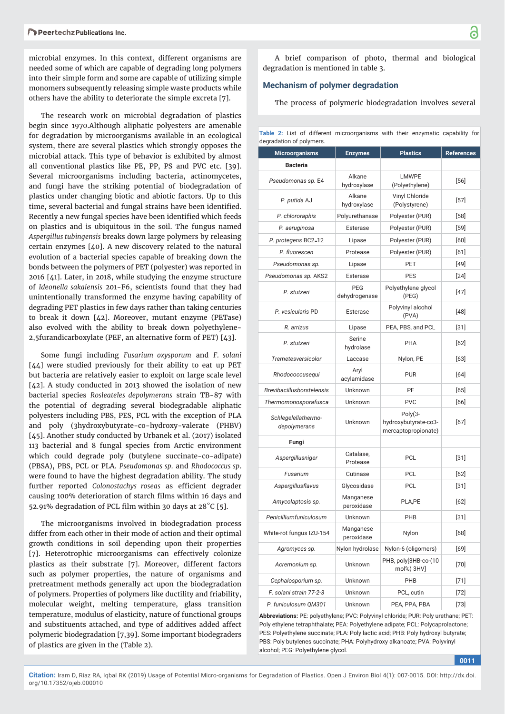microbial enzymes. In this context, different organisms are needed some of which are capable of degrading long polymers into their simple form and some are capable of utilizing simple monomers subsequently releasing simple waste products while others have the ability to deteriorate the simple excreta [7].

The research work on microbial degradation of plastics begin since 1970.Although aliphatic polyesters are amenable for degradation by microorganisms available in an ecological system, there are several plastics which strongly opposes the microbial attack. This type of behavior is exhibited by almost all conventional plastics like PE, PP, PS and PVC etc. [39]. Several microorganisms including bacteria, actinomycetes, and fungi have the striking potential of biodegradation of plastics under changing biotic and abiotic factors. Up to this time, several bacterial and fungal strains have been identified. Recently a new fungal species have been identified which feeds on plastics and is ubiquitous in the soil. The fungus named *Aspergillus tubingensis* breaks down large polymers by releasing certain enzymes [40]. A new discovery related to the natural evolution of a bacterial species capable of breaking down the bonds between the polymers of PET (polyester) was reported in 2016 [41]. Later, in 2018, while studying the enzyme structure of *Ideonella sakaiensis* 201-F6, scientists found that they had unintentionally transformed the enzyme having capability of degrading PET plastics in few days rather than taking centuries to break it down [42]. Moreover, mutant enzyme (PETase) also evolved with the ability to break down polyethylene-2,5furandicarboxylate (PEF, an alternative form of PET) [43].

Some fungi including *Fusarium oxysporum* and *F. solani*  [44] were studied previously for their ability to eat up PET but bacteria are relatively easier to exploit on large scale level [42]. A study conducted in 2013 showed the isolation of new bacterial species *Rosleateles depolymerans* strain TB-87 with the potential of degrading several biodegradable aliphatic polyesters including PBS, PES, PCL with the exception of PLA and poly (3hydroxybutyrate-co-hydroxy-valerate (PHBV) [45]. Another study conducted by Urbanek et al. (2017) isolated 113 bacterial and 8 fungal species from Arctic environment which could degrade poly (butylene succinate-co-adipate) (PBSA), PBS, PCL or PLA. *Pseudomonas sp.* and *Rhodococcus sp*. were found to have the highest degradation ability. The study further reported *Colonostachys roseas* as efficient degrader causing 100% deterioration of starch films within 16 days and 52.91% degradation of PCL film within 30 days at  $28^{\circ}$ C [5].

The microorganisms involved in biodegradation process differ from each other in their mode of action and their optimal growth conditions in soil depending upon their properties [7]. Heterotrophic microorganisms can effectively colonize plastics as their substrate [7]. Moreover, different factors such as polymer properties, the nature of organisms and pretreatment methods generally act upon the biodegradation of polymers. Properties of polymers like ductility and friability, molecular weight, melting temperature, glass transition temperature, modulus of elasticity, nature of functional groups and substituents attached, and type of additives added affect polymeric biodegradation [7,39]. Some important biodegraders of plastics are given in the (Table 2).

A brief comparison of photo, thermal and biological degradation is mentioned in table 3.

#### **Mechanism of polymer degradation**

The process of polymeric biodegradation involves several

|                          |  |  |  |  | Table 2: List of different microorganisms with their enzymatic capability for |  |  |  |  |  |
|--------------------------|--|--|--|--|-------------------------------------------------------------------------------|--|--|--|--|--|
| degradation of polymers. |  |  |  |  |                                                                               |  |  |  |  |  |

| <b>Microorganisms</b>               | <b>Plastics</b><br><b>Enzymes</b> |                                                          | <b>References</b> |
|-------------------------------------|-----------------------------------|----------------------------------------------------------|-------------------|
| <b>Bacteria</b>                     |                                   |                                                          |                   |
| Pseudomonas sp. E4                  | Alkane<br>hydroxylase             | <b>LMWPE</b><br>(Polyethylene)                           | [56]              |
| P. putida AJ                        | Alkane<br>hydroxylase             | Vinyl Chloride<br>(Polystyrene)                          | $[57]$            |
| P. chlororaphis                     | Polyurethanase                    | Polyester (PUR)                                          | $[58]$            |
| P. aeruginosa                       | Esterase                          | Polyester (PUR)                                          | $[59]$            |
| P. protegens BC2-12                 | Lipase                            | Polyester (PUR)                                          | [60]              |
| P. fluorescen                       | Protease                          | Polyester (PUR)                                          | [61]              |
| Pseudomonas sp.                     | Lipase                            | <b>PET</b>                                               | $[49]$            |
| Pseudomonas sp. AKS2                | Esterase                          | <b>PES</b>                                               | $[24]$            |
| P. stutzeri                         | <b>PEG</b><br>dehydrogenase       | Polyethylene glycol<br>(PEG)                             | $[47]$            |
| P. vesicularis PD                   | Esterase                          | Polyvinyl alcohol<br>(PVA)                               | $[48]$            |
| R. arrizus                          | Lipase                            | PEA, PBS, and PCL                                        | $[31]$            |
| P. stutzeri                         | Serine<br>hydrolase               | PHA                                                      |                   |
| Tremetesversicolor                  | Laccase                           | Nylon, PE                                                | $[63]$            |
| Rhodococcusequi                     | Aryl<br>acylamidase               | <b>PUR</b>                                               | [64]              |
| <b>Brevibacillusborstelensis</b>    | PE<br>Unknown                     |                                                          | [65]              |
| Thermomonosporafusca                | <b>PVC</b><br>Unknown             |                                                          | [66]              |
| Schlegelellathermo-<br>depolymerans | Unknown                           | $Poly(3-$<br>hydroxybutyrate-co3-<br>mercaptopropionate) | $[67]$            |
| Fungi                               |                                   |                                                          |                   |
| Aspergillusniger                    | Catalase,<br>Protease             | <b>PCL</b>                                               | $[31]$            |
| Fusarium                            | Cutinase                          | <b>PCL</b>                                               | [62]              |
| Aspergillusflavus                   | Glycosidase                       | <b>PCL</b>                                               | $[31]$            |
| Amycolaptosis sp.                   | Manganese<br>PLA,PE<br>peroxidase |                                                          | $[62]$            |
| Penicilliumfuniculosum              | Unknown                           | PHB                                                      | $[31]$            |
| White-rot fungus IZU-154            | Manganese<br>peroxidase           | Nylon                                                    | [68]              |
| Agromyces sp.                       | Nylon hydrolase                   | Nylon-6 (oligomers)                                      | [69]              |
| Acremonium sp.                      | Unknown                           | PHB, poly[3HB-co-(10<br>mol%) 3HV]                       | $[70]$            |
| Cephalosporium sp.                  | Unknown                           | PHB                                                      | [71]              |
| F. solani strain 77-2-3             | Unknown                           | PCL, cutin                                               | [72]              |
| P. funiculosum QM301                | Unknown                           | PEA, PPA, PBA                                            | $[73]$            |

**Abbreviations:** PE: polyethylene; PVC: Polyvinyl chloride; PUR: Poly urethane; PET: Poly ethylene tetraphthalate; PEA: Polyethylene adipate; PCL: Polycaprolactone; PES: Polyethylene succinate; PLA: Poly lactic acid; PHB: Poly hydroxyl butyrate; PBS: Poly butylenes succinate; PHA: Polyhydroxy alkanoate; PVA: Polyvinyl alcohol; PEG: Polyethylene glycol.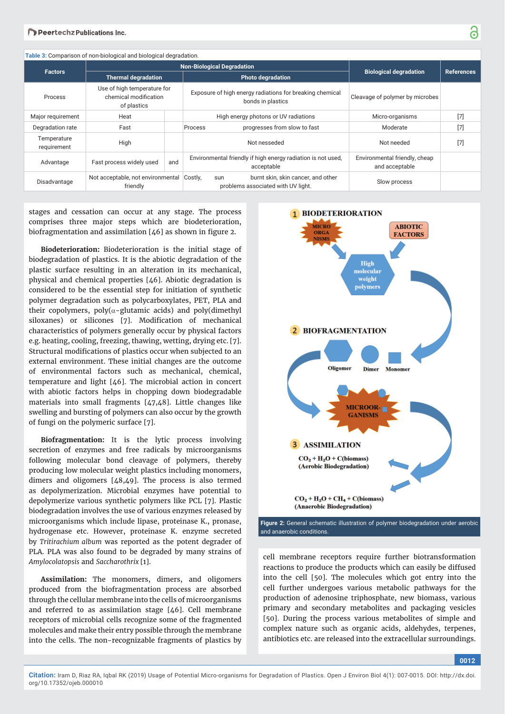|                            | Table 3: Comparison of non-biological and biological degradation.   |                                   |                                                                                                                  |                                                 |       |
|----------------------------|---------------------------------------------------------------------|-----------------------------------|------------------------------------------------------------------------------------------------------------------|-------------------------------------------------|-------|
| <b>Factors</b>             |                                                                     | <b>Non-Biological Degradation</b> | <b>Biological degradation</b>                                                                                    | <b>References</b>                               |       |
|                            | <b>Thermal degradation</b>                                          |                                   | <b>Photo degradation</b>                                                                                         |                                                 |       |
| Process                    | Use of high temperature for<br>chemical modification<br>of plastics |                                   | Exposure of high energy radiations for breaking chemical<br>Cleavage of polymer by microbes<br>bonds in plastics |                                                 |       |
| Major requirement          | Heat                                                                |                                   | High energy photons or UV radiations                                                                             | Micro-organisms                                 | $[7]$ |
| Degradation rate           | Fast                                                                |                                   | progresses from slow to fast<br>Process                                                                          | Moderate                                        | $[7]$ |
| Temperature<br>requirement | High                                                                |                                   | Not nesseded                                                                                                     | Not needed                                      | $[7]$ |
| Advantage                  | Fast process widely used                                            | and                               | Environmental friendly if high energy radiation is not used,<br>acceptable                                       | Environmental friendly, cheap<br>and acceptable |       |
| Disadvantage               | Not acceptable, not environmental Costly,<br>friendly               |                                   | burnt skin, skin cancer, and other<br>sun<br>problems associated with UV light.                                  | Slow process                                    |       |

stages and cessation can occur at any stage. The process comprises three major steps which are biodeterioration, biofragmentation and assimilation  $[46]$  as shown in figure 2.

**Biodeterioration:** Biodeterioration is the initial stage of biodegradation of plastics. It is the abiotic degradation of the plastic surface resulting in an alteration in its mechanical, physical and chemical properties [46]. Abiotic degradation is considered to be the essential step for initiation of synthetic polymer degradation such as polycarboxylates, PET, PLA and their copolymers, poly( $\alpha$ -glutamic acids) and poly(dimethyl siloxanes) or silicones [7]. Modification of mechanical characteristics of polymers generally occur by physical factors e.g. heating, cooling, freezing, thawing, wetting, drying etc. [7]. Structural modifications of plastics occur when subjected to an external environment. These initial changes are the outcome of environmental factors such as mechanical, chemical, temperature and light [46]. The microbial action in concert with abiotic factors helps in chopping down biodegradable materials into small fragments [47,48]. Little changes like swelling and bursting of polymers can also occur by the growth of fungi on the polymeric surface [7].

**Biofragmentation:** It is the lytic process involving secretion of enzymes and free radicals by microorganisms following molecular bond cleavage of polymers, thereby producing low molecular weight plastics including monomers, dimers and oligomers [48,49]. The process is also termed as depolymerization. Microbial enzymes have potential to depolymerize various synthetic polymers like PCL [7]. Plastic biodegradation involves the use of various enzymes released by microorganisms which include lipase, proteinase K., pronase, hydrogenase etc. However, proteinase K. enzyme secreted by *Tritirachium album* was reported as the potent degrader of PLA. PLA was also found to be degraded by many strains of *Amylocolatopsis* and *Saccharothrix* [1].

**Assimilation:** The monomers, dimers, and oligomers produced from the biofragmentation process are absorbed through the cellular membrane into the cells of microorganisms and referred to as assimilation stage [46]. Cell membrane receptors of microbial cells recognize some of the fragmented molecules and make their entry possible through the membrane into the cells. The non-recognizable fragments of plastics by



**Figure 2:** General schematic illustration of polymer biodegradation under aerobic and anaerobic conditions.

cell membrane receptors require further biotransformation reactions to produce the products which can easily be diffused into the cell [50]. The molecules which got entry into the cell further undergoes various metabolic pathways for the production of adenosine triphosphate, new biomass, various primary and secondary metabolites and packaging vesicles [50]. During the process various metabolites of simple and complex nature such as organic acids, aldehydes, terpenes, antibiotics etc. are released into the extracellular surroundings.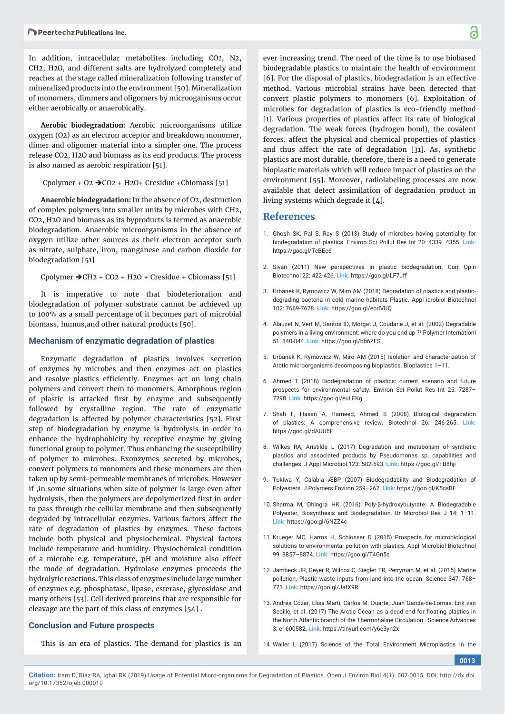In addition, intracellular metabolites including CO2, N2, CH2, H2O, and different salts are hydrolyzed completely and reaches at the stage called mineralization following transfer of mineralized products into the environment [50]. Mineralization of monomers, dimmers and oligomers by microoganisms occur either aerobically or anaerobically.

**Aerobic biodegradation:** Aerobic microorganisms utilize oxygen (O2) as an electron acceptor and breakdown monomer, dimer and oligomer material into a simpler one. The process release CO2, H2O and biomass as its end products. The process is also named as aerobic respiration [51].

Cpolymer + O2  $\rightarrow$  CO2 + H2O+ Cresidue +Cbiomass [51]

**Anaerobic biodegradation:** In the absence of O2, destruction of complex polymers into smaller units by microbes with CH2, CO2, H2O and biomass as its byproducts is termed as anaerobic biodegradation. Anaerobic microorganisms in the absence of oxygen utilize other sources as their electron acceptor such as nitrate, sulphate, iron, manganese and carbon dioxide for biodegradation [51]

Cpolymer  $\rightarrow$  CH2 + CO2 + H2O + Cresidue + Cbiomass [51]

It is imperative to note that biodeterioration and biodegradation of polymer substrate cannot be achieved up to 100% as a small percentage of it becomes part of microbial biomass, humus,and other natural products [50].

### **Mechanism of enzymatic degradation of plastics**

Enzymatic degradation of plastics involves secretion of enzymes by microbes and then enzymes act on plastics and resolve plastics efficiently. Enzymes act on long chain polymers and convert them to monomers. Amorphous region of plastic is attacked first by enzyme and subsequently followed by crystalline region. The rate of enzymatic degradation is affected by polymer characteristics [52]. First step of biodegradation by enzyme is hydrolysis in order to enhance the hydrophobicity by receptive enzyme by giving functional group to polymer. Thus enhancing the susceptibility of polymer to microbes. Exonzymes secreted by microbes, convert polymers to monomers and these monomers are then taken up by semi-permeable membranes of microbes. However if ,in some situations when size of polymer is large even after hydrolysis, then the polymers are depolymerized first in order to pass through the cellular membrane and then subsequently degraded by intracellular enzymes. Various factors affect the rate of degradation of plastics by enzymes. These factors include both physical and physiochemical. Physical factors include temperature and humidity. Physiochemical condition of a microbe e.g. temperature, pH and moisture also effect the mode of degradation. Hydrolase enzymes proceeds the hydrolytic reactions. This class of enzymes include large number of enzymes e.g. phosphatase, lipase, esterase, glycosidase and many others [53]. Cell derived proteins that are responsible for cleavage are the part of this class of enzymes [54] .

# **Conclusion and Future prospects**

This is an era of plastics. The demand for plastics is an

ever increasing trend. The need of the time is to use biobased biodegradable plastics to maintain the health of environment [6]. For the disposal of plastics, biodegradation is an effective method. Various microbial strains have been detected that convert plastic polymers to monomers [6]. Exploitation of microbes for degradation of plastics is eco-friendly method [1]. Various properties of plastics affect its rate of biological degradation. The weak forces (hydrogen bond), the covalent forces, affect the physical and chemical properties of plastics and thus affect the rate of degradation [31]. As, synthetic plastics are most durable, therefore, there is a need to generate bioplastic materials which will reduce impact of plastics on the environment [55]. Moreover, radiolabeling processes are now available that detect assimilation of degradation product in living systems which degrade it [4].

# **References**

- 1. Ghosh SK, Pal S, Ray S (2013) Study of microbes having potentiality for biodegradation of plastics. Environ Sci Pollut Res Int 20: 4339–4355. **Link:** https://goo.gl/TcBEc6
- 2. Sivan (2011) New perspectives in plastic biodegradation. Curr Opin Biotechnol 22: 422-426. **Link:** https://goo.gl/LF7Jff
- 3. Urbanek K, Rymowicz W, Miro AM (2018) Degradation of plastics and plasticdegrading bacteria in cold marine habitats Plastic. Appl icrobiol Biotechnol 102: 7669-7678. **Link:** https://goo.gl/eodVUQ
- 4. Alauzet N, Vert M, Santos ID, Morgat J, Coudane J, et al. (2002) Degradable polymers in a living environment: where do you end up ?† Polymer internationl 51: 840-844. **Link:** https://goo.gl/bb6ZFS
- 5. Urbanek K, Rymowicz W, Miro AM (2015) Isolation and characterization of Arctic microorganisms decomposing bioplastics. Bioplastics 1–11.
- 6. Ahmed T (2018) Biodegradation of plastics: current scenario and future prospects for environmental safety. Environ Sci Pollut Res Int 25: 7287– 7298. **Link:** https://goo.gl/euLFKg
- 7. Shah F, Hasan A, Hameed, Ahmed S (2008) Biological degradation of plastics: A comprehensive review. Biotechnol 26: 246-265. **Link:** https://goo.gl/dAUU6F
- 8. Wilkes RA, Aristilde L (2017) Degradation and metabolism of synthetic plastics and associated products by Pseudomonas sp, capabilities and challenges. J Appl Microbiol 123: 582-593. **Link:** https://goo.gl/FB8hji
- 9. Tokiwa Y, Calabia ÆBP (2007) Biodegradability and Biodegradation of Polyesters. J Polymers Environ 259–267. **Link:** https://goo.gl/K5csBE
- 10. Sharma M, Dhingra HK (2016) Poly-β-hydroxybutyrate: A Biodegradable Polyester, Biosynthesis and Biodegradation. Br Microbiol Res J 14: 1–11. **Link:** https://goo.gl/6NZZ4c
- 11. Krueger MC, Harms H, Schlosser D (2015) Prospects for microbiological solutions to environmental pollution with plastics. Appl Microbiol Biotechnol 99: 8857–8874. **Link:** https://goo.gl/T4Gn5s
- 12. Jambeck JR, Geyer R, Wilcox C, Siegler TR, Perryman M, et al. (2015) Marine pollution. Plastic waste inputs from land into the ocean. Science 347: 768– 771. **Link:** https://goo.gl/JafX9R
- 13. Andrés Cózar, Elisa Martí, Carlos M. Duarte, Juan García-de-Lomas, Erik van Sebille, et al. (2017) The Arctic Ocean as a dead end for floating plastics in the North Atlantic branch of the Thermohaline Circulation . Science Advances 3: e1600582. **Link:** https://tinyurl.com/y6e3yn2x
- 14. Waller L (2017) Science of the Total Environment Microplastics in the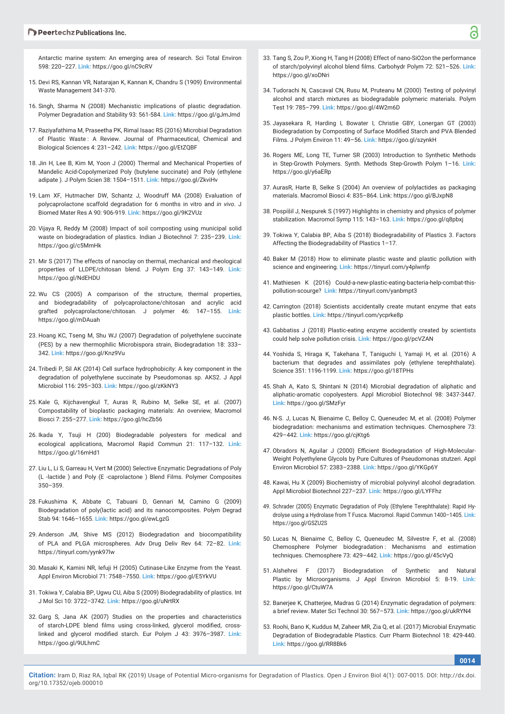#### **Deertechz Publications Inc.**

Antarctic marine system: An emerging area of research. Sci Total Environ 598: 220–227. **Link:** https://goo.gl/nC9cRV

- 15. Devi RS, Kannan VR, Natarajan K, Kannan K, Chandru S (1909) Environmental Waste Management 341-370.
- 16. Singh, Sharma N (2008) Mechanistic implications of plastic degradation. Polymer Degradation and Stability 93: 561-584. **Link:** https://goo.gl/gJmJmd
- 17. Raziyafathima M, Praseetha PK, Rimal Isaac RS (2016) Microbial Degradation of Plastic Waste : A Review. Journal of Pharmaceutical, Chemical and Biological Sciences 4: 231–242. **Link:** https://goo.gl/EtZQBF
- 18. Jin H, Lee B, Kim M, Yoon J (2000) Thermal and Mechanical Properties of Mandelic Acid-Copolymerized Poly (butylene succinate) and Poly (ethylene adipate ). J Polym Scien 38: 1504–1511. **Link:** https://goo.gl/ZkviHv
- 19. Lam XF, Hutmacher DW, Schantz J, Woodruff MA (2008) Evaluation of polycaprolactone scaffold degradation for 6 months in vitro and *in vivo*. J Biomed Mater Res A 90: 906-919. **Link:** https://goo.gl/9K2VUz
- 20. Vijaya R, Reddy M (2008) Impact of soil composting using municipal solid waste on biodegradation of plastics. Indian J Biotechnol 7: 235–239. **Link:** https://goo.gl/c5MmHk
- 21. Mir S (2017) The effects of nanoclay on thermal, mechanical and rheological properties of LLDPE/chitosan blend. J Polym Eng 37: 143–149. **Link:** https://goo.gl/NdEHDU
- 22. Wu CS (2005) A comparison of the structure, thermal properties, and biodegradability of polycaprolactone/chitosan and acrylic acid grafted polycaprolactone/chitosan. J polymer 46: 147–155. **Link:** https://goo.gl/mDAuah
- 23. Hoang KC, Tseng M, Shu WJ (2007) Degradation of polyethylene succinate (PES) by a new thermophilic Microbispora strain, Biodegradation 18: 333– 342. **Link:** https://goo.gl/Knz9Vu
- 24. Tribedi P, Sil AK (2014) Cell surface hydrophobicity: A key component in the degradation of polyethylene succinate by Pseudomonas sp. AKS2. J Appl Microbiol 116: 295–303. **Link:** https://goo.gl/zKkNY3
- 25. Kale G, Kijchavengkul T, Auras R, Rubino M, Selke SE, et al. (2007) Compostability of bioplastic packaging materials: An overview, Macromol Biosci 7: 255–277. **Link:** https://goo.gl/hcZb56
- 26. Ikada Y, Tsuji H (200) Biodegradable polyesters for medical and ecological applications, Macromol Rapid Commun 21: 117–132. **Link:** https://goo.gl/16mHd1
- 27. Liu L, Li S, Garreau H, Vert M (2000) Selective Enzymatic Degradations of Poly (L -lactide ) and Poly (E -caprolactone ) Blend Films. Polymer Composites 350–359.
- 28. Fukushima K, Abbate C, Tabuani D, Gennari M, Camino G (2009) Biodegradation of poly(lactic acid) and its nanocomposites. Polym Degrad Stab 94: 1646–1655. **Link:** https://goo.gl/ewLgzG
- 29. Anderson JM, Shive MS (2012) Biodegradation and biocompatibility of PLA and PLGA microspheres. Adv Drug Deliv Rev 64: 72–82. **Link:** https://tinyurl.com/yynk97lw
- 30. Masaki K, Kamini NR, Iefuji H (2005) Cutinase-Like Enzyme from the Yeast. Appl Environ Microbiol 71: 7548–7550. **Link:** https://goo.gl/E5YkVU
- 31. Tokiwa Y, Calabia BP, Ugwu CU, Aiba S (2009) Biodegradability of plastics. Int J Mol Sci 10: 3722–3742. **Link:** https://goo.gl/uNrtRX
- 32. Garg S, Jana AK (2007) Studies on the properties and characteristics of starch-LDPE blend films using cross-linked, glycerol modified, crosslinked and glycerol modified starch. Eur Polym J 43: 3976-3987. Link: https://goo.gl/9ULhmC
- 33. Tang S, Zou P, Xiong H, Tang H (2008) Effect of nano-SiO2on the performance of starch/polyvinyl alcohol blend films. Carbohydr Polym 72: 521-526. Link: https://goo.gl/xoDNri
- 34. Tudorachi N, Cascaval CN, Rusu M, Pruteanu M (2000) Testing of polyvinyl alcohol and starch mixtures as biodegradable polymeric materials. Polym Test 19: 785–799. **Link:** https://goo.gl/4W2m6D
- 35. Jayasekara R, Harding I, Bowater I, Christie GBY, Lonergan GT (2003) Biodegradation by Composting of Surface Modified Starch and PVA Blended Films. J Polym Environ 11: 49–56. **Link:** https://goo.gl/szynkH
- 36. Rogers ME, Long TE, Turner SR (2003) Introduction to Synthetic Methods in Step-Growth Polymers. Synth. Methods Step-Growth Polym 1–16. **Link:** https://goo.gl/y6aERp
- 37. AurasR, Harte B, Selke S (2004) An overview of polylactides as packaging materials. Macromol Biosci 4: 835–864. Link: https://goo.gl/BJxpN8
- 38. Pospíšil J, Nespurek S (1997) Highlights in chemistry and physics of polymer stabilization. Macromol Symp 115: 143–163. **Link:** https://goo.gl/q8pbxj
- 39. Tokiwa Y, Calabia BP, Aiba S (2018) Biodegradability of Plastics 3. Factors Affecting the Biodegradability of Plastics 1–17.
- 40. Baker M (2018) How to eliminate plastic waste and plastic pollution with science and engineering. **Link:** https://tinyurl.com/y4plwnfp
- 41. Mathiesen K (2016) Could-a-new-plastic-eating-bacteria-help-combat-thispollution-scourge? **Link:** https://tinyurl.com/yanbmpt3
- 42. Carrington (2018) Scientists accidentally create mutant enzyme that eats plastic bottles. **Link:** https://tinyurl.com/ycprke8p
- 43. Gabbatiss J (2018) Plastic-eating enzyme accidently created by scientists could help solve pollution crisis. **Link:** https://goo.gl/pcVZAN
- 44. Yoshida S, Hiraga K, Takehana T, Taniguchi I, Yamaji H, et al. (2016) A bacterium that degrades and assimilates poly (ethylene terephthalate). Science 351: 1196-1199. **Link:** https://goo.gl/18TPHs
- 45. Shah A, Kato S, Shintani N (2014) Microbial degradation of aliphatic and aliphatic-aromatic copolyesters. Appl Microbiol Biotechnol 98: 3437-3447. **Link:** https://goo.gl/SMzFyr
- 46. N-S. J, Lucas N, Bienaime C, Belloy C, Queneudec M, et al. (2008) Polymer biodegradation: mechanisms and estimation techniques. Chemosphere 73: 429–442. **Link:** https://goo.gl/cjKtg6
- 47. Obradors N, Aguilar J (2000) Efficient Biodegradation of High-Molecular-Weight Polyethylene Glycols by Pure Cultures of Pseudomonas stutzeri. Appl Environ Microbiol 57: 2383–2388. **Link:** https://goo.gl/YKGp6Y
- 48. Kawai, Hu X (2009) Biochemistry of microbial polyvinyl alcohol degradation. Appl Microbiol Biotechnol 227–237. **Link:** https://goo.gl/LYFFhz
- 49. Schrader (2005) Enzymatic Degradation of Poly (Ethylene Terephthalate): Rapid Hydrolyse using a Hydrolase from T Fusca. Macromol. Rapid Commun 1400–1405. **Link:** https://goo.gl/GSZU2S
- 50. Lucas N, Bienaime C, Belloy C, Queneudec M, Silvestre F, et al. (2008) Chemosphere Polymer biodegradation : Mechanisms and estimation techniques. Chemosphere 73: 429–442. **Link:** https://goo.gl/45cVyQ
- 51. Alshehrei F (2017) Biodegradation of Synthetic and Natural Plastic by Microorganisms. J Appl Environ Microbiol 5: 8-19. **Link:** https://goo.gl/CtuW7A
- 52. Banerjee K, Chatterjee, Madras G (2014) Enzymatic degradation of polymers: a brief review. Mater Sci Technol 30: 567–573. **Link:** https://goo.gl/ukRYN4
- 53. Roohi, Bano K, Kuddus M, Zaheer MR, Zia Q, et al. (2017) Microbial Enzymatic Degradation of Biodegradable Plastics. Curr Pharm Biotechnol 18: 429-440. **Link:** https://goo.gl/RR8Bk6